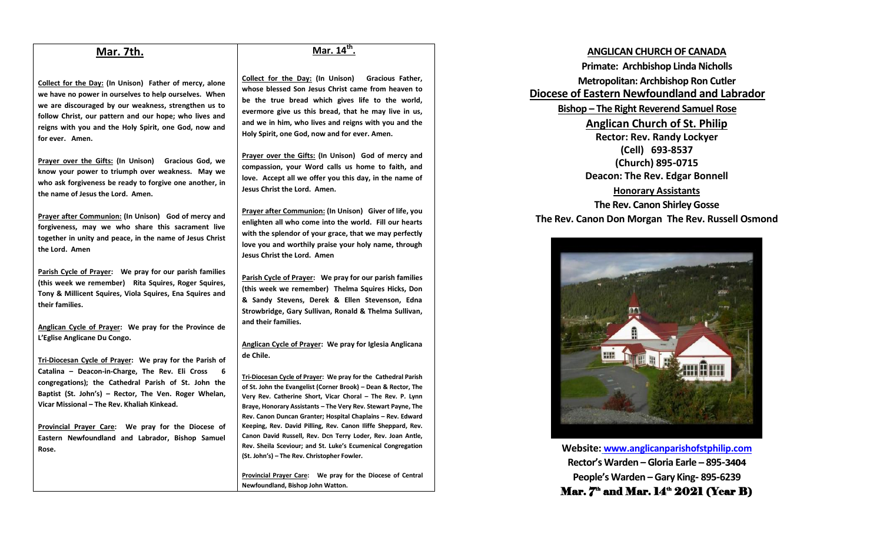### **Mar. 7th.**

**Collect for the Day: (In Unison) Father of mercy, alone we have no power in ourselves to help ourselves. When we are discouraged by our weakness, strengthen us to follow Christ, our pattern and our hope; who lives and reigns with you and the Holy Spirit, one God, now and for ever. Amen.**

**Prayer over the Gifts: (In Unison) Gracious God, we know your power to triumph over weakness. May we who ask forgiveness be ready to forgive one another, in the name of Jesus the Lord. Amen.**

**Prayer after Communion: (In Unison) God of mercy and forgiveness, may we who share this sacrament live together in unity and peace, in the name of Jesus Christ the Lord. Amen**

**Parish Cycle of Prayer: We pray for our parish families (this week we remember) Rita Squires, Roger Squires, Tony & Millicent Squires, Viola Squires, Ena Squires and their families.**

**Anglican Cycle of Prayer: We pray for the Province de L'Eglise Anglicane Du Congo.**

**Tri-Diocesan Cycle of Prayer: We pray for the Parish of Catalina – Deacon-in-Charge, The Rev. Eli Cross 6 congregations); the Cathedral Parish of St. John the Baptist (St. John's) – Rector, The Ven. Roger Whelan, Vicar Missional – The Rev. Khaliah Kinkead.** 

**Provincial Prayer Care: We pray for the Diocese of Eastern Newfoundland and Labrador, Bishop Samuel Rose.**

### **Mar. 14th .**

**Collect for the Day: (In Unison) Gracious Father, whose blessed Son Jesus Christ came from heaven to be the true bread which gives life to the world, evermore give us this bread, that he may live in us, and we in him, who lives and reigns with you and the Holy Spirit, one God, now and for ever. Amen.**

**Prayer over the Gifts: (In Unison) God of mercy and compassion, your Word calls us home to faith, and love. Accept all we offer you this day, in the name of Jesus Christ the Lord. Amen.**

**Prayer after Communion: (In Unison) Giver of life, you enlighten all who come into the world. Fill our hearts with the splendor of your grace, that we may perfectly love you and worthily praise your holy name, through Jesus Christ the Lord. Amen**

**Parish Cycle of Prayer: We pray for our parish families (this week we remember) Thelma Squires Hicks, Don & Sandy Stevens, Derek & Ellen Stevenson, Edna Strowbridge, Gary Sullivan, Ronald & Thelma Sullivan, and their families.**

#### **Anglican Cycle of Prayer: We pray for Iglesia Anglicana de Chile.**

**Tri-Diocesan Cycle of Prayer: We pray for the Cathedral Parish of St. John the Evangelist (Corner Brook) – Dean & Rector, The Very Rev. Catherine Short, Vicar Choral – The Rev. P. Lynn Braye, Honorary Assistants – The Very Rev. Stewart Payne, The Rev. Canon Duncan Granter; Hospital Chaplains – Rev. Edward Keeping, Rev. David Pilling, Rev. Canon Iliffe Sheppard, Rev. Canon David Russell, Rev. Dcn Terry Loder, Rev. Joan Antle, Rev. Sheila Sceviour; and St. Luke's Ecumenical Congregation (St. John's) – The Rev. Christopher Fowler.**

**Provincial Prayer Care: We pray for the Diocese of Central Newfoundland, Bishop John Watton.**

## **ANGLICAN CHURCH OF CANADA Primate: Archbishop Linda Nicholls Metropolitan: Archbishop Ron Cutler Diocese of Eastern Newfoundland and Labrador Bishop – The Right Reverend Samuel Rose Anglican Church of St. Philip Rector: Rev. Randy Lockyer (Cell) 693-8537 (Church) 895-0715 Deacon: The Rev. Edgar Bonnell Honorary Assistants**

# **The Rev. Canon Shirley Gosse The Rev. Canon Don Morgan The Rev. Russell Osmond**



**Website: [www.anglicanparishofstphilip.com](http://www.anglicanparishofstphilip.com/) Rector's Warden – Gloria Earle – 895-3404 People's Warden – Gary King- 895-6239** Mar.  $7<sup>th</sup>$  and Mar.  $14<sup>th</sup> 2021$  (Year B)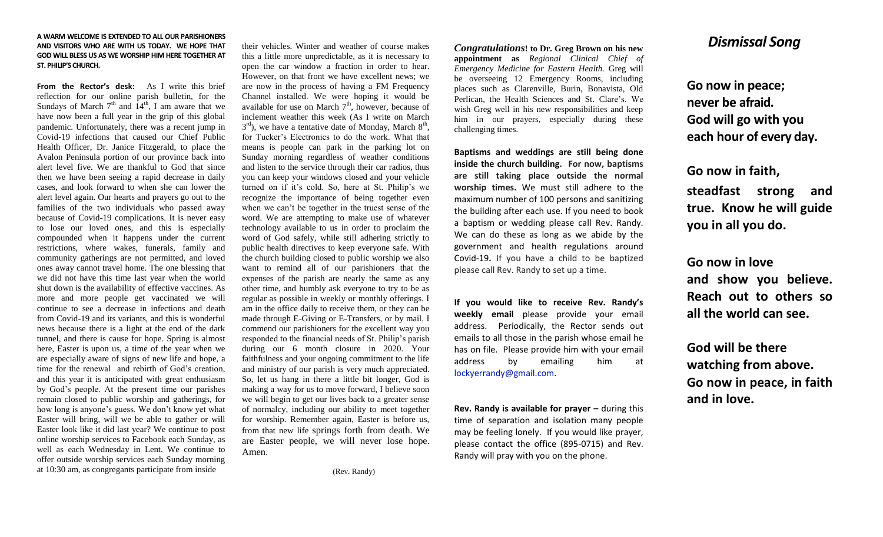#### **A WARM WELCOME IS EXTENDED TO ALL OUR PARISHIONERS AND VISITORS WHO ARE WITH US TODAY. WE HOPE THAT GOD WILL BLESS US AS WE WORSHIP HIM HERE TOGETHER AT ST. PHILIP'S CHURCH.**

**From the Rector's desk:** As I write this brief reflection for our online parish bulletin, for the Sundays of March  $7<sup>th</sup>$  and  $14<sup>th</sup>$ , I am aware that we have now been a full year in the grip of this global pandemic. Unfortunately, there was a recent jump in Covid-19 infections that caused our Chief Public Health Officer, Dr. Janice Fitzgerald, to place the Avalon Peninsula portion of our province back into alert level five. We are thankful to God that since then we have been seeing a rapid decrease in daily cases, and look forward to when she can lower the alert level again. Our hearts and prayers go out to the families of the two individuals who passed away because of Covid-19 complications. It is never easy to lose our loved ones, and this is especially compounded when it happens under the current restrictions, where wakes, funerals, family and community gatherings are not permitted, and loved ones away cannot travel home. The one blessing that we did not have this time last year when the world shut down is the availability of effective vaccines. As more and more people get vaccinated we will continue to see a decrease in infections and death from Covid-19 and its variants, and this is wonderful news because there is a light at the end of the dark tunnel, and there is cause for hope. Spring is almost here, Easter is upon us, a time of the year when we are especially aware of signs of new life and hope, a time for the renewal and rebirth of God's creation, and this year it is anticipated with great enthusiasm by God's people. At the present time our parishes remain closed to public worship and gatherings, for how long is anyone's guess. We don't know yet what Easter will bring, will we be able to gather or will Easter look like it did last year? We continue to post online worship services to Facebook each Sunday, as well as each Wednesday in Lent. We continue to offer outside worship services each Sunday morning at 10:30 am, as congregants participate from inside

their vehicles. Winter and weather of course makes this a little more unpredictable, as it is necessary to open the car window a fraction in order to hear. However, on that front we have excellent news; we are now in the process of having a FM Frequency Channel installed. We were hoping it would be available for use on March  $7<sup>th</sup>$ , however, because of inclement weather this week (As I write on March  $3^{\text{rd}}$ ), we have a tentative date of Monday, March  $8^{\text{th}}$ , for Tucker's Electronics to do the work. What that means is people can park in the parking lot on Sunday morning regardless of weather conditions and listen to the service through their car radios, thus you can keep your windows closed and your vehicle turned on if it's cold. So, here at St. Philip's we recognize the importance of being together even when we can't be together in the truest sense of the word. We are attempting to make use of whatever technology available to us in order to proclaim the word of God safely, while still adhering strictly to public health directives to keep everyone safe. With the church building closed to public worship we also want to remind all of our parishioners that the expenses of the parish are nearly the same as any other time, and humbly ask everyone to try to be as regular as possible in weekly or monthly offerings. I am in the office daily to receive them, or they can be made through E-Giving or E-Transfers, or by mail. I commend our parishioners for the excellent way you responded to the financial needs of St. Philip's parish during our 6 month closure in 2020. Your faithfulness and your ongoing commitment to the life and ministry of our parish is very much appreciated. So, let us hang in there a little bit longer, God is making a way for us to move forward, I believe soon we will begin to get our lives back to a greater sense of normalcy, including our ability to meet together for worship. Remember again, Easter is before us, from that new life springs forth from death. We are Easter people, we will never lose hope. Amen.

(Rev. Randy)

*Congratulations***! to Dr. Greg Brown on his new appointment as** *Regional Clinical Chief of Emergency Medicine for Eastern Health.* Greg will be overseeing 12 Emergency Rooms, including places such as Clarenville, Burin, Bonavista, Old Perlican, the Health Sciences and St. Clare's. We wish Greg well in his new responsibilities and keep him in our prayers, especially during these challenging times.

**Baptisms and weddings are still being done inside the church building. For now, baptisms are still taking place outside the normal worship times.** We must still adhere to the maximum number of 100 persons and sanitizing the building after each use. If you need to book a baptism or wedding please call Rev. Randy. We can do these as long as we abide by the government and health regulations around Covid-19**.** If you have a child to be baptized please call Rev. Randy to set up a time.

**If you would like to receive Rev. Randy's weekly email** please provide your email address. Periodically, the Rector sends out emails to all those in the parish whose email he has on file. Please provide him with your email address by emailing him at [lockyerrandy@gmail.com.](mailto:lockyerrandy@gmail.com)

**Rev. Randy is available for prayer – during this** time of separation and isolation many people may be feeling lonely. If you would like prayer, please contact the office (895-0715) and Rev. Randy will pray with you on the phone.

# *Dismissal Song*

**Go now in peace; never be afraid. God will go with you each hour of every day.**

**Go now in faith, steadfast strong and true. Know he will guide you in all you do.**

**Go now in love and show you believe. Reach out to others so all the world can see.**

**God will be there watching from above. Go now in peace, in faith and in love.**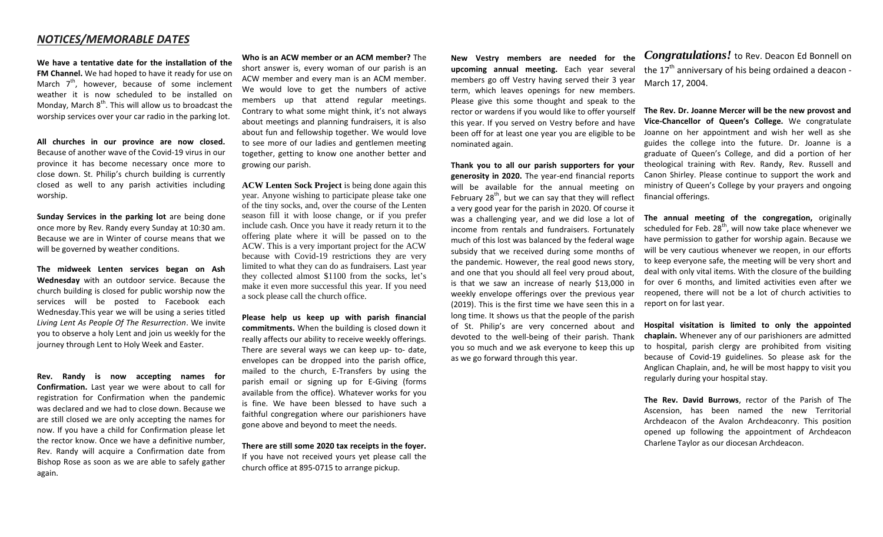### *NOTICES/MEMORABLE DATES*

**We have a tentative date for the installation of the FM Channel.** We had hoped to have it ready for use on March  $7<sup>th</sup>$ , however, because of some inclement weather it is now scheduled to be installed on Monday, March  $8<sup>th</sup>$ . This will allow us to broadcast the worship services over your car radio in the parking lot.

**All churches in our province are now closed.** Because of another wave of the Covid-19 virus in our province it has become necessary once more to close down. St. Philip's church building is currently closed as well to any parish activities including worship.

**Sunday Services in the parking lot** are being done once more by Rev. Randy every Sunday at 10:30 am. Because we are in Winter of course means that we will be governed by weather conditions.

**The midweek Lenten services began on Ash Wednesday** with an outdoor service. Because the church building is closed for public worship now the services will be posted to Facebook each Wednesday.This year we will be using a series titled *Living Lent As People Of The Resurrection*. We invite you to observe a holy Lent and join us weekly for the journey through Lent to Holy Week and Easter.

**Rev. Randy is now accepting names for Confirmation.** Last year we were about to call for registration for Confirmation when the pandemic was declared and we had to close down. Because we are still closed we are only accepting the names for now. If you have a child for Confirmation please let the rector know. Once we have a definitive number, Rev. Randy will acquire a Confirmation date from Bishop Rose as soon as we are able to safely gather again.

**Who is an ACW member or an ACM member?** The short answer is, every woman of our parish is an ACW member and every man is an ACM member. We would love to get the numbers of active members up that attend regular meetings. Contrary to what some might think, it's not always about meetings and planning fundraisers, it is also about fun and fellowship together. We would love to see more of our ladies and gentlemen meeting together, getting to know one another better and growing our parish.

**ACW Lenten Sock Project** is being done again this year. Anyone wishing to participate please take one of the tiny socks, and, over the course of the Lenten season fill it with loose change, or if you prefer include cash. Once you have it ready return it to the offering plate where it will be passed on to the ACW. This is a very important project for the ACW because with Covid-19 restrictions they are very limited to what they can do as fundraisers. Last year they collected almost \$1100 from the socks, let's make it even more successful this year. If you need a sock please call the church office.

**Please help us keep up with parish financial commitments.** When the building is closed down it really affects our ability to receive weekly offerings. There are several ways we can keep up- to- date, envelopes can be dropped into the parish office, mailed to the church, E-Transfers by using the parish email or signing up for E-Giving (forms available from the office). Whatever works for you is fine. We have been blessed to have such a faithful congregation where our parishioners have gone above and beyond to meet the needs.

**There are still some 2020 tax receipts in the foyer.**  If you have not received yours yet please call the church office at 895-0715 to arrange pickup.

**New Vestry members are needed for the upcoming annual meeting.** Each year several members go off Vestry having served their 3 year term, which leaves openings for new members. Please give this some thought and speak to the rector or wardens if you would like to offer yourself this year. If you served on Vestry before and have been off for at least one year you are eligible to be nominated again.

**Thank you to all our parish supporters for your generosity in 2020.** The year-end financial reports will be available for the annual meeting on February  $28<sup>th</sup>$ , but we can say that they will reflect a very good year for the parish in 2020. Of course it was a challenging year, and we did lose a lot of income from rentals and fundraisers. Fortunately much of this lost was balanced by the federal wage subsidy that we received during some months of the pandemic. However, the real good news story, and one that you should all feel very proud about, is that we saw an increase of nearly \$13,000 in weekly envelope offerings over the previous year (2019). This is the first time we have seen this in a long time. It shows us that the people of the parish of St. Philip's are very concerned about and devoted to the well-being of their parish. Thank you so much and we ask everyone to keep this up as we go forward through this year.

*Congratulations!* to Rev. Deacon Ed Bonnell on the  $17<sup>th</sup>$  anniversary of his being ordained a deacon -March 17, 2004.

**The Rev. Dr. Joanne Mercer will be the new provost and Vice-Chancellor of Queen's College.** We congratulate Joanne on her appointment and wish her well as she guides the college into the future. Dr. Joanne is a graduate of Queen's College, and did a portion of her theological training with Rev. Randy, Rev. Russell and Canon Shirley. Please continue to support the work and ministry of Queen's College by your prayers and ongoing financial offerings.

**The annual meeting of the congregation,** originally scheduled for Feb.  $28<sup>th</sup>$ , will now take place whenever we have permission to gather for worship again. Because we will be very cautious whenever we reopen, in our efforts to keep everyone safe, the meeting will be very short and deal with only vital items. With the closure of the building for over 6 months, and limited activities even after we reopened, there will not be a lot of church activities to report on for last year.

**Hospital visitation is limited to only the appointed chaplain.** Whenever any of our parishioners are admitted to hospital, parish clergy are prohibited from visiting because of Covid-19 guidelines. So please ask for the Anglican Chaplain, and, he will be most happy to visit you regularly during your hospital stay.

**The Rev. David Burrows**, rector of the Parish of The Ascension, has been named the new Territorial Archdeacon of the Avalon Archdeaconry. This position opened up following the appointment of Archdeacon Charlene Taylor as our diocesan Archdeacon.